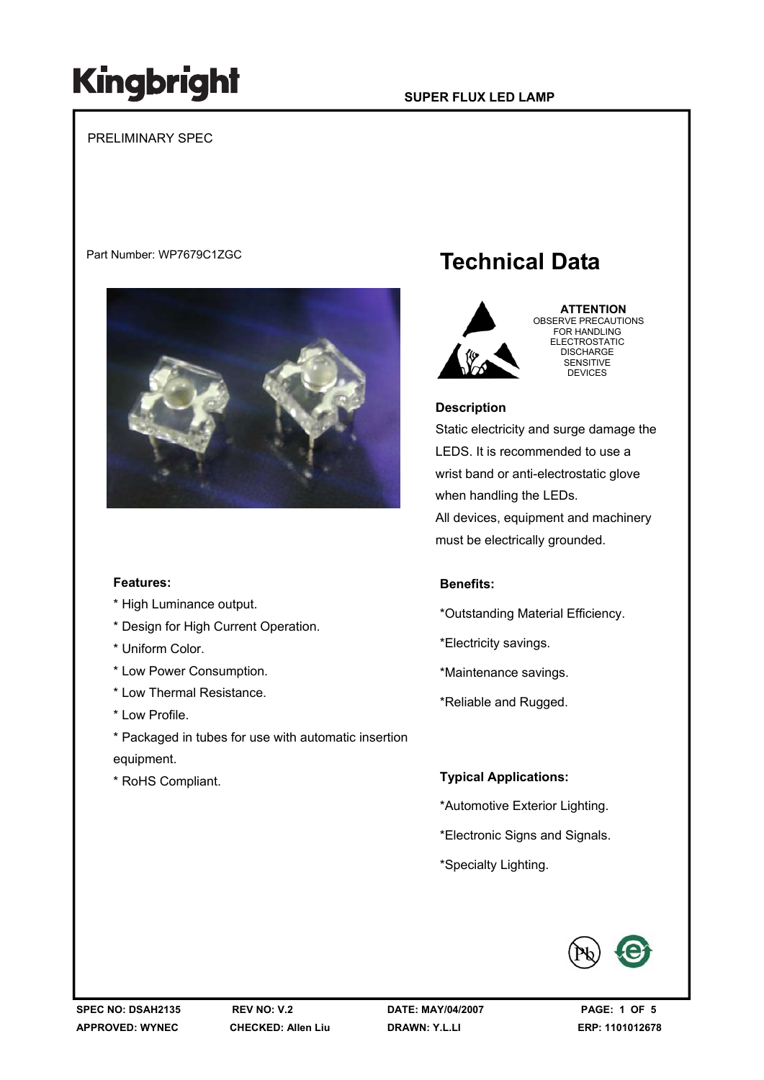#### **SUPER FLUX LED LAMP**

#### PRELIMINARY SPEC

#### Part Number: WP7679C1ZGC



#### **Features:**

- \* High Luminance output.
- \* Design for High Current Operation.
- \* Uniform Color.
- \* Low Power Consumption.
- \* Low Thermal Resistance.
- \* Low Profile.
- \* Packaged in tubes for use with automatic insertion equipment.
- \* RoHS Compliant.

### **Technical Data**



#### **ATTENTION**

 OBSERVE PRECAUTIONS FOR HANDLING ELECTROSTATIC DISCHARGE SENSITIVE DEVICES

#### **Description**

Static electricity and surge damage the LEDS. It is recommended to use a wrist band or anti-electrostatic glove when handling the LEDs. All devices, equipment and machinery must be electrically grounded.

#### **Benefits:**

- \*Outstanding Material Efficiency.
- \*Electricity savings.
- \*Maintenance savings.
- \*Reliable and Rugged.

#### **Typical Applications:**

- \*Automotive Exterior Lighting.
- \*Electronic Signs and Signals.
- \*Specialty Lighting.

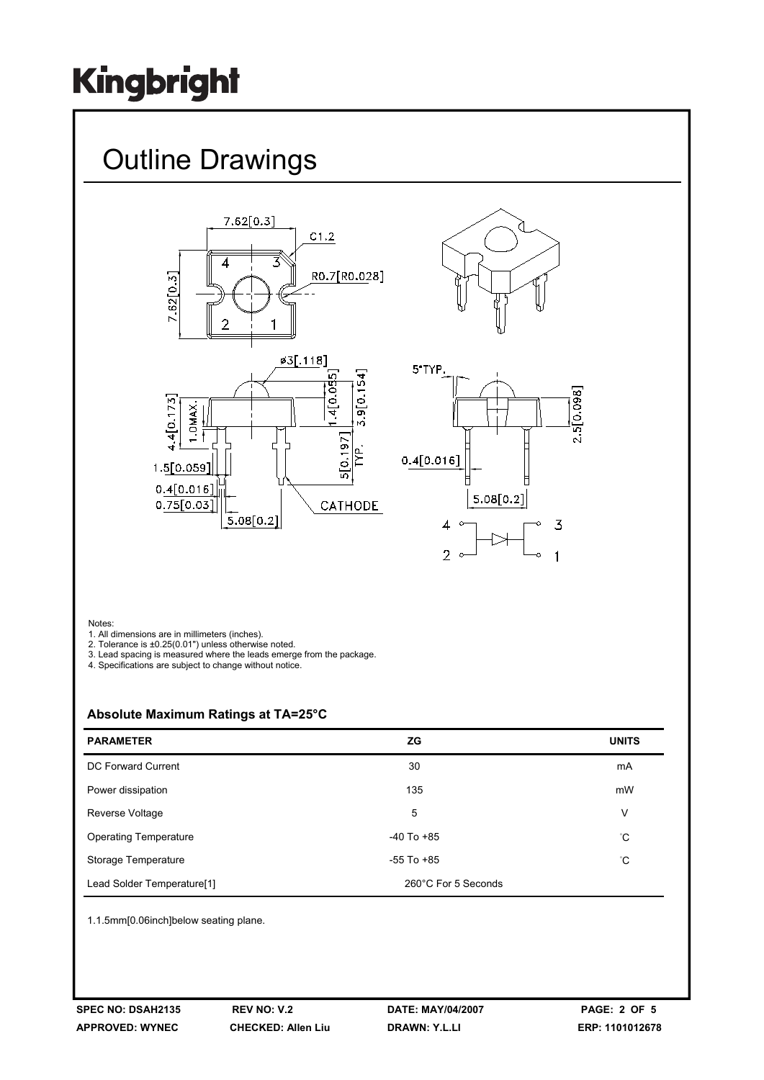### Outline Drawings







#### Notes:

1. All dimensions are in millimeters (inches).

2. Tolerance is ±0.25(0.01") unless otherwise noted.

3. Lead spacing is measured where the leads emerge from the package.

4. Specifications are subject to change without notice.

#### **Absolute Maximum Ratings at TA=25°C**

| <b>PARAMETER</b>                       | ZG                  | <b>UNITS</b> |
|----------------------------------------|---------------------|--------------|
| DC Forward Current                     | 30                  | mA           |
| Power dissipation                      | 135                 | mW           |
| Reverse Voltage                        | 5                   | $\vee$       |
| <b>Operating Temperature</b>           | $-40$ To $+85$      | °С           |
| Storage Temperature                    | $-55$ To $+85$      | °С           |
| Lead Solder Temperature <sup>[1]</sup> | 260°C For 5 Seconds |              |

1.1.5mm[0.06inch]below seating plane.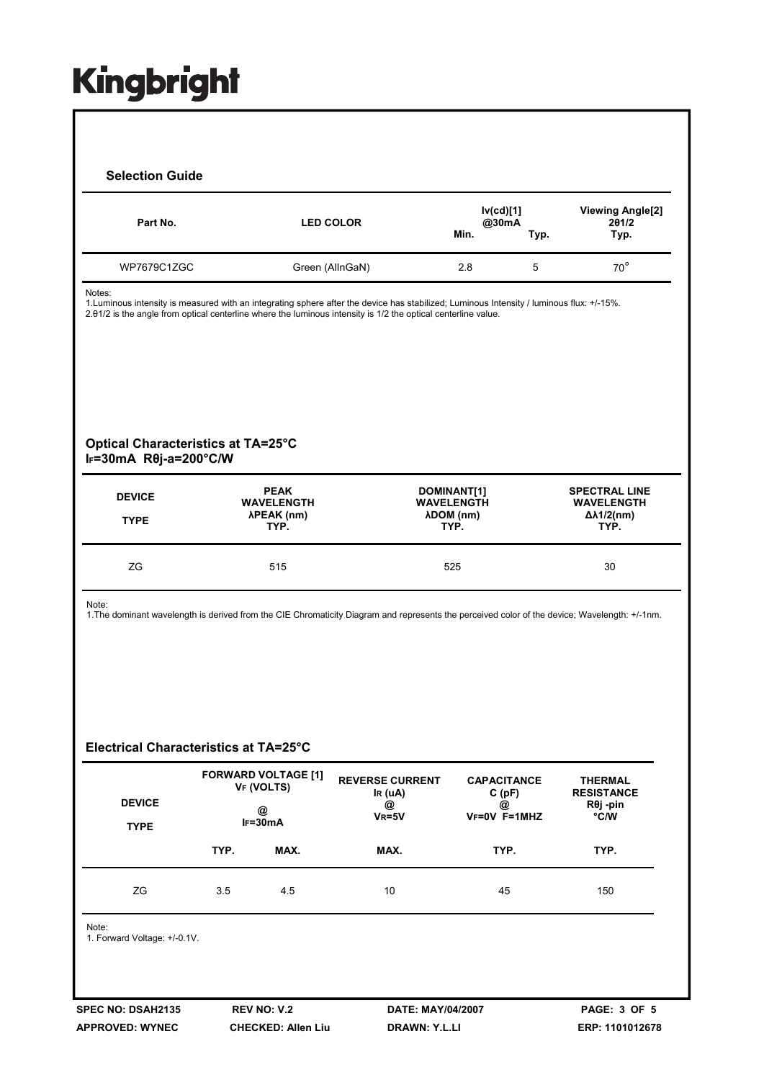**SPEC NO: DSAH2135 REV NO: V.2 DATE: MAY/04/2007 PAGE: 3 OF 5**  Notes: 1.Luminous intensity is measured with an integrating sphere after the device has stabilized; Luminous Intensity / luminous flux: +/-15%. 2.θ1/2 is the angle from optical centerline where the luminous intensity is 1/2 the optical centerline value. Note: 1.The dominant wavelength is derived from the CIE Chromaticity Diagram and represents the perceived color of the device; Wavelength: +/-1nm. Note: 1. Forward Voltage: +/-0.1V. **Selection Guide Part No. LED COLOR Iv(cd)[1] @30mA Min. Typ. Viewing Angle[2] 2θ1/2 Typ.** WP7679C1ZGC Green (AllnGaN) 2.8 5 70° **DEVICE TYPE PEAK WAVELENGTH λPEAK (nm) TYP. DOMINANT[1] WAVELENGTH λDOM (nm) TYP. SPECTRAL LINE WAVELENGTH Δλ1/2(nm) TYP.** ZG 515 525 30 **Optical Characteristics at TA=25°C IF=30mA Rθj-a=200°C/W Electrical Characteristics at TA=25°C DEVICE TYPE FORWARD VOLTAGE [1] VF (VOLTS) @ IF=30mA REVERSE CURRENT IR (uA) @ VR=5V CAPACITANCE C (pF) @ VF=0V F=1MHZ THERMAL RESISTANCE Rθj -pin °C/W TYP. MAX. MAX. TYP. TYP.** ZG 3.5 4.5 10 45 150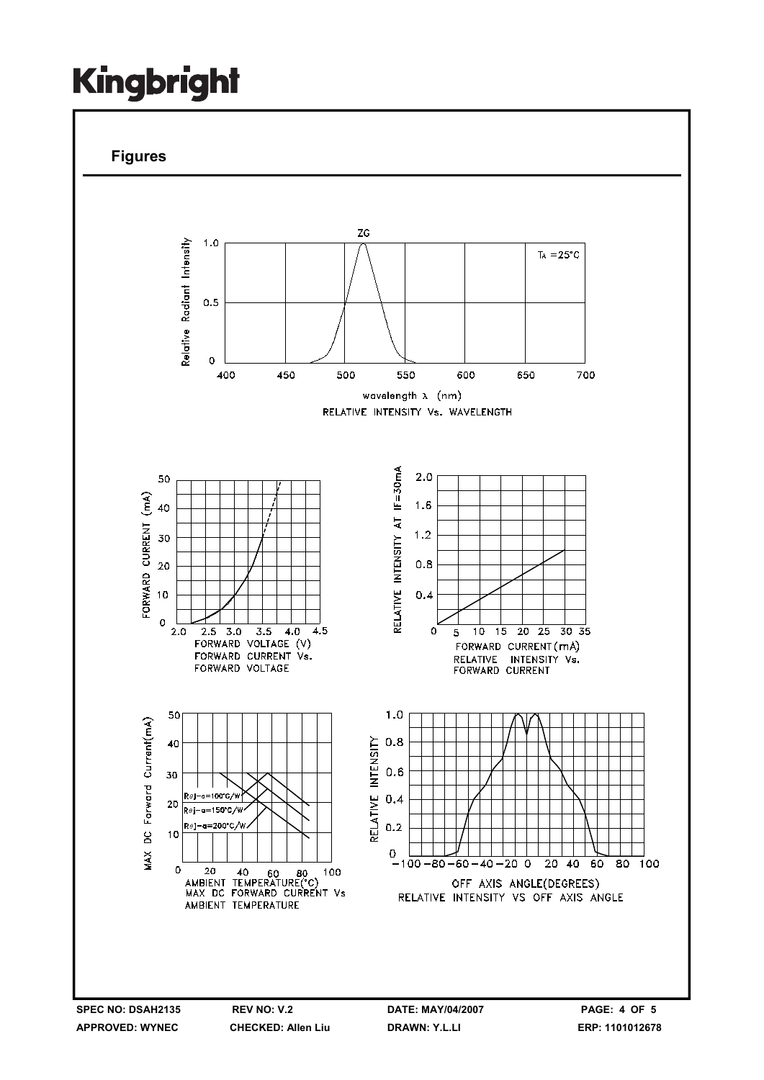**Figures**